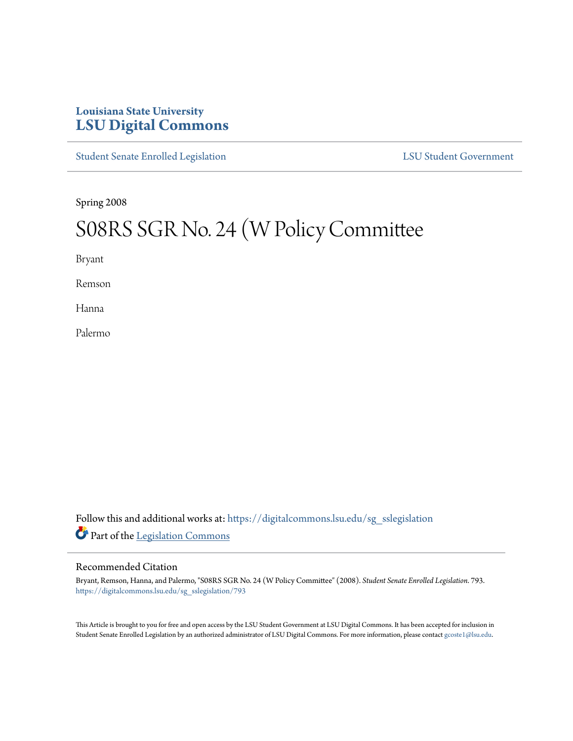# **Louisiana State University [LSU Digital Commons](https://digitalcommons.lsu.edu?utm_source=digitalcommons.lsu.edu%2Fsg_sslegislation%2F793&utm_medium=PDF&utm_campaign=PDFCoverPages)**

[Student Senate Enrolled Legislation](https://digitalcommons.lsu.edu/sg_sslegislation?utm_source=digitalcommons.lsu.edu%2Fsg_sslegislation%2F793&utm_medium=PDF&utm_campaign=PDFCoverPages) [LSU Student Government](https://digitalcommons.lsu.edu/sg?utm_source=digitalcommons.lsu.edu%2Fsg_sslegislation%2F793&utm_medium=PDF&utm_campaign=PDFCoverPages)

Spring 2008

# S08RS SGR No. 24 (W Policy Committee

Bryant

Remson

Hanna

Palermo

Follow this and additional works at: [https://digitalcommons.lsu.edu/sg\\_sslegislation](https://digitalcommons.lsu.edu/sg_sslegislation?utm_source=digitalcommons.lsu.edu%2Fsg_sslegislation%2F793&utm_medium=PDF&utm_campaign=PDFCoverPages) Part of the [Legislation Commons](http://network.bepress.com/hgg/discipline/859?utm_source=digitalcommons.lsu.edu%2Fsg_sslegislation%2F793&utm_medium=PDF&utm_campaign=PDFCoverPages)

#### Recommended Citation

Bryant, Remson, Hanna, and Palermo, "S08RS SGR No. 24 (W Policy Committee" (2008). *Student Senate Enrolled Legislation*. 793. [https://digitalcommons.lsu.edu/sg\\_sslegislation/793](https://digitalcommons.lsu.edu/sg_sslegislation/793?utm_source=digitalcommons.lsu.edu%2Fsg_sslegislation%2F793&utm_medium=PDF&utm_campaign=PDFCoverPages)

This Article is brought to you for free and open access by the LSU Student Government at LSU Digital Commons. It has been accepted for inclusion in Student Senate Enrolled Legislation by an authorized administrator of LSU Digital Commons. For more information, please contact [gcoste1@lsu.edu.](mailto:gcoste1@lsu.edu)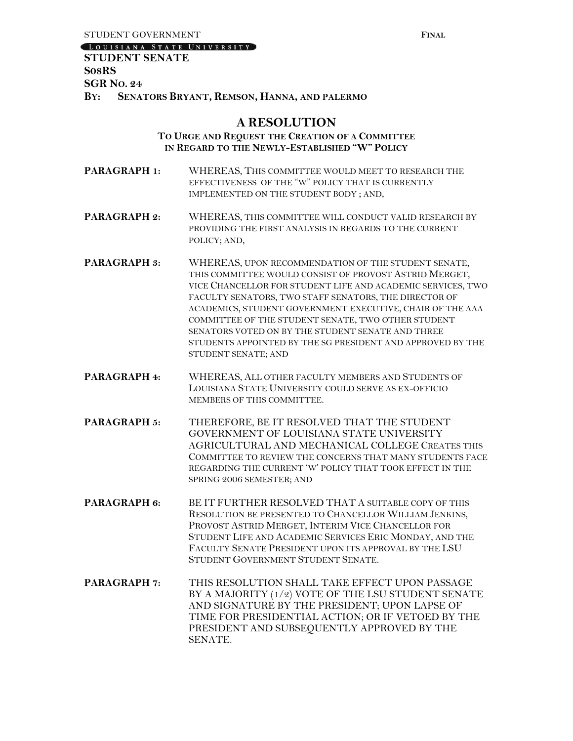[LOUISIANA STATE UNIVERSITY]

## **STUDENT SENATE S08RS SGR NO. 24 BY: SENATORS BRYANT, REMSON, HANNA, AND PALERMO**

### **A RESOLUTION**

#### **TO URGE AND REQUEST THE CREATION OF A COMMITTEE IN REGARD TO THE NEWLY-ESTABLISHED "W" POLICY**

- **PARAGRAPH 1:** WHEREAS, THIS COMMITTEE WOULD MEET TO RESEARCH THE EFFECTIVENESS OF THE "W" POLICY THAT IS CURRENTLY IMPLEMENTED ON THE STUDENT BODY ; AND,
- **PARAGRAPH 2:** WHEREAS, THIS COMMITTEE WILL CONDUCT VALID RESEARCH BY PROVIDING THE FIRST ANALYSIS IN REGARDS TO THE CURRENT POLICY; AND,
- **PARAGRAPH 3:** WHEREAS, UPON RECOMMENDATION OF THE STUDENT SENATE, THIS COMMITTEE WOULD CONSIST OF PROVOST ASTRID MERGET, VICE CHANCELLOR FOR STUDENT LIFE AND ACADEMIC SERVICES, TWO FACULTY SENATORS, TWO STAFF SENATORS, THE DIRECTOR OF ACADEMICS, STUDENT GOVERNMENT EXECUTIVE, CHAIR OF THE AAA COMMITTEE OF THE STUDENT SENATE, TWO OTHER STUDENT SENATORS VOTED ON BY THE STUDENT SENATE AND THREE STUDENTS APPOINTED BY THE SG PRESIDENT AND APPROVED BY THE STUDENT SENATE; AND
- **PARAGRAPH 4:** WHEREAS, ALL OTHER FACULTY MEMBERS AND STUDENTS OF LOUISIANA STATE UNIVERSITY COULD SERVE AS EX-OFFICIO MEMBERS OF THIS COMMITTEE.
- **PARAGRAPH 5:** THEREFORE, BE IT RESOLVED THAT THE STUDENT GOVERNMENT OF LOUISIANA STATE UNIVERSITY AGRICULTURAL AND MECHANICAL COLLEGE CREATES THIS COMMITTEE TO REVIEW THE CONCERNS THAT MANY STUDENTS FACE REGARDING THE CURRENT 'W' POLICY THAT TOOK EFFECT IN THE SPRING 2006 SEMESTER; AND
- **PARAGRAPH 6:** BE IT FURTHER RESOLVED THAT A SUITABLE COPY OF THIS RESOLUTION BE PRESENTED TO CHANCELLOR WILLIAM JENKINS, PROVOST ASTRID MERGET, INTERIM VICE CHANCELLOR FOR STUDENT LIFE AND ACADEMIC SERVICES ERIC MONDAY, AND THE FACULTY SENATE PRESIDENT UPON ITS APPROVAL BY THE LSU STUDENT GOVERNMENT STUDENT SENATE.
- **PARAGRAPH 7:** THIS RESOLUTION SHALL TAKE EFFECT UPON PASSAGE BY A MAJORITY (1/2) VOTE OF THE LSU STUDENT SENATE AND SIGNATURE BY THE PRESIDENT; UPON LAPSE OF TIME FOR PRESIDENTIAL ACTION; OR IF VETOED BY THE PRESIDENT AND SUBSEQUENTLY APPROVED BY THE SENATE.